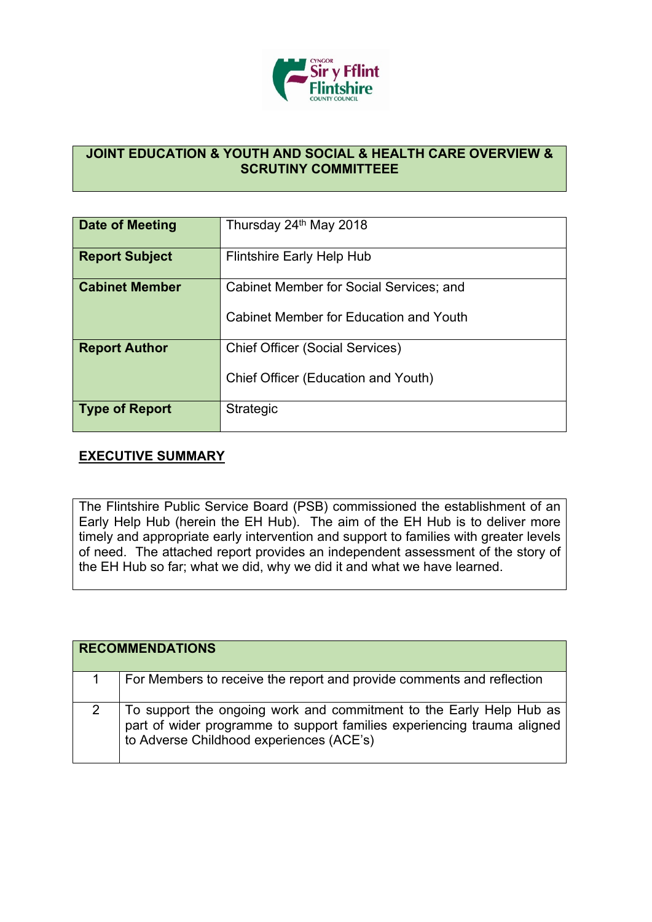

## **JOINT EDUCATION & YOUTH AND SOCIAL & HEALTH CARE OVERVIEW & SCRUTINY COMMITTEEE**

| Date of Meeting       | Thursday 24th May 2018                                                            |
|-----------------------|-----------------------------------------------------------------------------------|
| <b>Report Subject</b> | Flintshire Early Help Hub                                                         |
| <b>Cabinet Member</b> | Cabinet Member for Social Services; and<br>Cabinet Member for Education and Youth |
| <b>Report Author</b>  | <b>Chief Officer (Social Services)</b><br>Chief Officer (Education and Youth)     |
| <b>Type of Report</b> | <b>Strategic</b>                                                                  |

## **EXECUTIVE SUMMARY**

The Flintshire Public Service Board (PSB) commissioned the establishment of an Early Help Hub (herein the EH Hub). The aim of the EH Hub is to deliver more timely and appropriate early intervention and support to families with greater levels of need. The attached report provides an independent assessment of the story of the EH Hub so far; what we did, why we did it and what we have learned.

| <b>RECOMMENDATIONS</b>                                                                                                                                                                     |
|--------------------------------------------------------------------------------------------------------------------------------------------------------------------------------------------|
| For Members to receive the report and provide comments and reflection                                                                                                                      |
| To support the ongoing work and commitment to the Early Help Hub as<br>part of wider programme to support families experiencing trauma aligned<br>to Adverse Childhood experiences (ACE's) |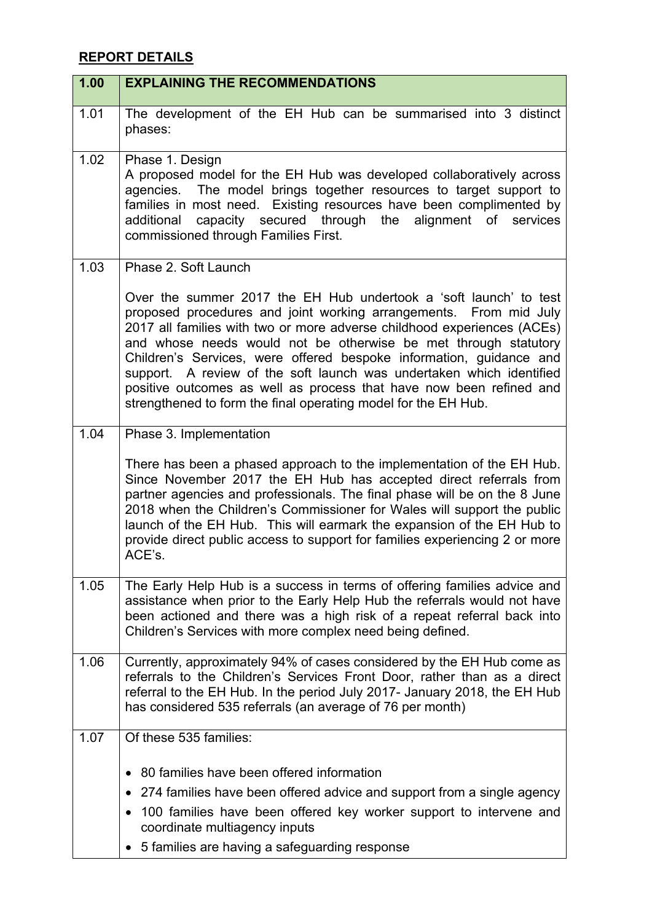## **REPORT DETAILS**

| 1.00 | <b>EXPLAINING THE RECOMMENDATIONS</b>                                                                                                                                                                                                                                                                                                                                                                                                                                                                                                                                        |
|------|------------------------------------------------------------------------------------------------------------------------------------------------------------------------------------------------------------------------------------------------------------------------------------------------------------------------------------------------------------------------------------------------------------------------------------------------------------------------------------------------------------------------------------------------------------------------------|
| 1.01 | The development of the EH Hub can be summarised into 3 distinct<br>phases:                                                                                                                                                                                                                                                                                                                                                                                                                                                                                                   |
| 1.02 | Phase 1. Design<br>A proposed model for the EH Hub was developed collaboratively across<br>agencies. The model brings together resources to target support to<br>families in most need. Existing resources have been complimented by<br>capacity secured through the<br>alignment of services<br>additional<br>commissioned through Families First.                                                                                                                                                                                                                          |
| 1.03 | Phase 2. Soft Launch                                                                                                                                                                                                                                                                                                                                                                                                                                                                                                                                                         |
|      | Over the summer 2017 the EH Hub undertook a 'soft launch' to test<br>proposed procedures and joint working arrangements. From mid July<br>2017 all families with two or more adverse childhood experiences (ACEs)<br>and whose needs would not be otherwise be met through statutory<br>Children's Services, were offered bespoke information, guidance and<br>support. A review of the soft launch was undertaken which identified<br>positive outcomes as well as process that have now been refined and<br>strengthened to form the final operating model for the EH Hub. |
| 1.04 | Phase 3. Implementation                                                                                                                                                                                                                                                                                                                                                                                                                                                                                                                                                      |
|      | There has been a phased approach to the implementation of the EH Hub.<br>Since November 2017 the EH Hub has accepted direct referrals from<br>partner agencies and professionals. The final phase will be on the 8 June<br>2018 when the Children's Commissioner for Wales will support the public<br>launch of the EH Hub. This will earmark the expansion of the EH Hub to<br>provide direct public access to support for families experiencing 2 or more<br>ACE's.                                                                                                        |
| 1.05 | The Early Help Hub is a success in terms of offering families advice and<br>assistance when prior to the Early Help Hub the referrals would not have<br>been actioned and there was a high risk of a repeat referral back into<br>Children's Services with more complex need being defined.                                                                                                                                                                                                                                                                                  |
| 1.06 | Currently, approximately 94% of cases considered by the EH Hub come as<br>referrals to the Children's Services Front Door, rather than as a direct<br>referral to the EH Hub. In the period July 2017- January 2018, the EH Hub<br>has considered 535 referrals (an average of 76 per month)                                                                                                                                                                                                                                                                                 |
| 1.07 | Of these 535 families:                                                                                                                                                                                                                                                                                                                                                                                                                                                                                                                                                       |
|      | 80 families have been offered information                                                                                                                                                                                                                                                                                                                                                                                                                                                                                                                                    |
|      | 274 families have been offered advice and support from a single agency<br>$\bullet$                                                                                                                                                                                                                                                                                                                                                                                                                                                                                          |
|      | 100 families have been offered key worker support to intervene and<br>coordinate multiagency inputs                                                                                                                                                                                                                                                                                                                                                                                                                                                                          |
|      | • 5 families are having a safeguarding response                                                                                                                                                                                                                                                                                                                                                                                                                                                                                                                              |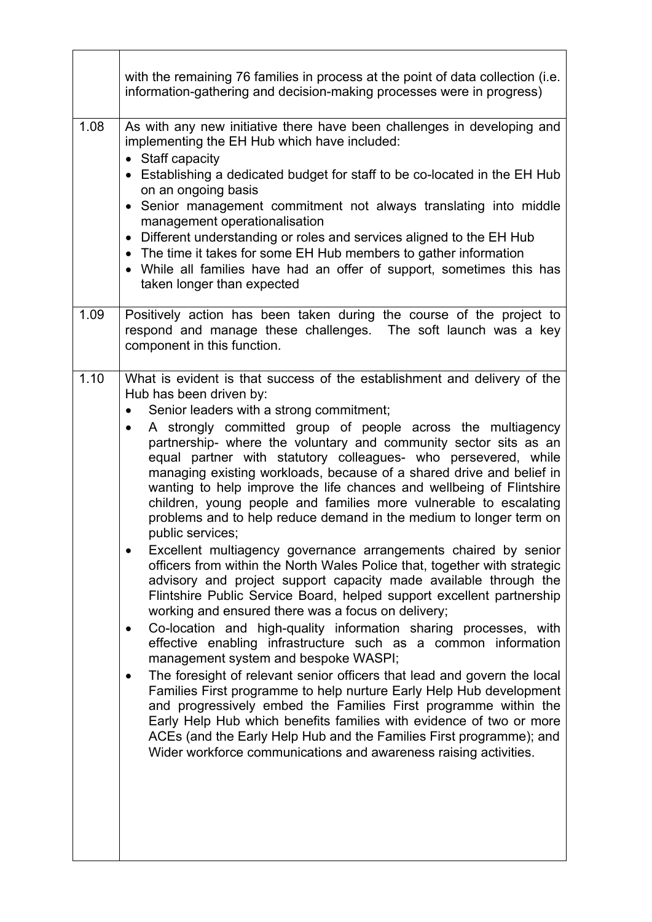|      | with the remaining 76 families in process at the point of data collection (i.e.<br>information-gathering and decision-making processes were in progress)                                                                                                                                                                                                                                                                                                                                                                                                                                                                                                                                                                                                                                                                                                                                                                                                                                                                                                                                                                                                                                                                                                                                                                                                                                                                                                                                                                                                                                                                                                            |
|------|---------------------------------------------------------------------------------------------------------------------------------------------------------------------------------------------------------------------------------------------------------------------------------------------------------------------------------------------------------------------------------------------------------------------------------------------------------------------------------------------------------------------------------------------------------------------------------------------------------------------------------------------------------------------------------------------------------------------------------------------------------------------------------------------------------------------------------------------------------------------------------------------------------------------------------------------------------------------------------------------------------------------------------------------------------------------------------------------------------------------------------------------------------------------------------------------------------------------------------------------------------------------------------------------------------------------------------------------------------------------------------------------------------------------------------------------------------------------------------------------------------------------------------------------------------------------------------------------------------------------------------------------------------------------|
| 1.08 | As with any new initiative there have been challenges in developing and<br>implementing the EH Hub which have included:<br>• Staff capacity<br>• Establishing a dedicated budget for staff to be co-located in the EH Hub<br>on an ongoing basis<br>Senior management commitment not always translating into middle<br>$\bullet$<br>management operationalisation<br>Different understanding or roles and services aligned to the EH Hub<br>$\bullet$<br>• The time it takes for some EH Hub members to gather information<br>• While all families have had an offer of support, sometimes this has<br>taken longer than expected                                                                                                                                                                                                                                                                                                                                                                                                                                                                                                                                                                                                                                                                                                                                                                                                                                                                                                                                                                                                                                   |
| 1.09 | Positively action has been taken during the course of the project to<br>respond and manage these challenges. The soft launch was a key<br>component in this function.                                                                                                                                                                                                                                                                                                                                                                                                                                                                                                                                                                                                                                                                                                                                                                                                                                                                                                                                                                                                                                                                                                                                                                                                                                                                                                                                                                                                                                                                                               |
| 1.10 | What is evident is that success of the establishment and delivery of the<br>Hub has been driven by:<br>Senior leaders with a strong commitment;<br>A strongly committed group of people across the multiagency<br>$\bullet$<br>partnership- where the voluntary and community sector sits as an<br>equal partner with statutory colleagues- who persevered, while<br>managing existing workloads, because of a shared drive and belief in<br>wanting to help improve the life chances and wellbeing of Flintshire<br>children, young people and families more vulnerable to escalating<br>problems and to help reduce demand in the medium to longer term on<br>public services;<br>Excellent multiagency governance arrangements chaired by senior<br>officers from within the North Wales Police that, together with strategic<br>advisory and project support capacity made available through the<br>Flintshire Public Service Board, helped support excellent partnership<br>working and ensured there was a focus on delivery;<br>Co-location and high-quality information sharing processes, with<br>٠<br>effective enabling infrastructure such as a common information<br>management system and bespoke WASPI;<br>The foresight of relevant senior officers that lead and govern the local<br>٠<br>Families First programme to help nurture Early Help Hub development<br>and progressively embed the Families First programme within the<br>Early Help Hub which benefits families with evidence of two or more<br>ACEs (and the Early Help Hub and the Families First programme); and<br>Wider workforce communications and awareness raising activities. |

<u> 1989 - Johann Stoff, deutscher Stoffen und der Stoffen und der Stoffen und der Stoffen und der Stoffen und der</u>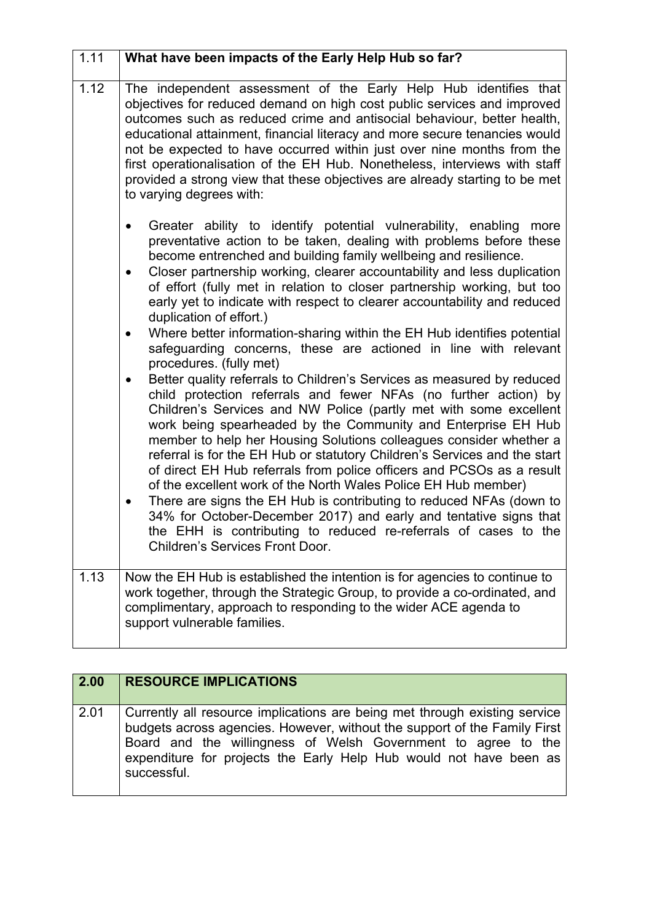| 1.11 | What have been impacts of the Early Help Hub so far?                                                                                                                                                                                                                                                                                                                                                                                                                                                                                                                                                                                                                                                                                                                                                                                                                                                                                                                                                                                                                                                                                                                                                                                                                                                                                                                                                                                                                                                                    |
|------|-------------------------------------------------------------------------------------------------------------------------------------------------------------------------------------------------------------------------------------------------------------------------------------------------------------------------------------------------------------------------------------------------------------------------------------------------------------------------------------------------------------------------------------------------------------------------------------------------------------------------------------------------------------------------------------------------------------------------------------------------------------------------------------------------------------------------------------------------------------------------------------------------------------------------------------------------------------------------------------------------------------------------------------------------------------------------------------------------------------------------------------------------------------------------------------------------------------------------------------------------------------------------------------------------------------------------------------------------------------------------------------------------------------------------------------------------------------------------------------------------------------------------|
| 1.12 | The independent assessment of the Early Help Hub identifies that<br>objectives for reduced demand on high cost public services and improved<br>outcomes such as reduced crime and antisocial behaviour, better health,<br>educational attainment, financial literacy and more secure tenancies would<br>not be expected to have occurred within just over nine months from the<br>first operationalisation of the EH Hub. Nonetheless, interviews with staff<br>provided a strong view that these objectives are already starting to be met<br>to varying degrees with:                                                                                                                                                                                                                                                                                                                                                                                                                                                                                                                                                                                                                                                                                                                                                                                                                                                                                                                                                 |
|      | Greater ability to identify potential vulnerability, enabling<br>more<br>$\bullet$<br>preventative action to be taken, dealing with problems before these<br>become entrenched and building family wellbeing and resilience.<br>Closer partnership working, clearer accountability and less duplication<br>$\bullet$<br>of effort (fully met in relation to closer partnership working, but too<br>early yet to indicate with respect to clearer accountability and reduced<br>duplication of effort.)<br>Where better information-sharing within the EH Hub identifies potential<br>$\bullet$<br>safeguarding concerns, these are actioned in line with relevant<br>procedures. (fully met)<br>Better quality referrals to Children's Services as measured by reduced<br>$\bullet$<br>child protection referrals and fewer NFAs (no further action) by<br>Children's Services and NW Police (partly met with some excellent<br>work being spearheaded by the Community and Enterprise EH Hub<br>member to help her Housing Solutions colleagues consider whether a<br>referral is for the EH Hub or statutory Children's Services and the start<br>of direct EH Hub referrals from police officers and PCSOs as a result<br>of the excellent work of the North Wales Police EH Hub member)<br>There are signs the EH Hub is contributing to reduced NFAs (down to<br>$\bullet$<br>34% for October-December 2017) and early and tentative signs that<br>the EHH is contributing to reduced re-referrals of cases to the |
|      | <b>Children's Services Front Door.</b>                                                                                                                                                                                                                                                                                                                                                                                                                                                                                                                                                                                                                                                                                                                                                                                                                                                                                                                                                                                                                                                                                                                                                                                                                                                                                                                                                                                                                                                                                  |
| 1.13 | Now the EH Hub is established the intention is for agencies to continue to<br>work together, through the Strategic Group, to provide a co-ordinated, and<br>complimentary, approach to responding to the wider ACE agenda to<br>support vulnerable families.                                                                                                                                                                                                                                                                                                                                                                                                                                                                                                                                                                                                                                                                                                                                                                                                                                                                                                                                                                                                                                                                                                                                                                                                                                                            |

| 2.00 | <b>RESOURCE IMPLICATIONS</b>                                                                                                                                                                                                                                                                                  |
|------|---------------------------------------------------------------------------------------------------------------------------------------------------------------------------------------------------------------------------------------------------------------------------------------------------------------|
| 2.01 | Currently all resource implications are being met through existing service<br>budgets across agencies. However, without the support of the Family First<br>Board and the willingness of Welsh Government to agree to the<br>expenditure for projects the Early Help Hub would not have been as<br>successful. |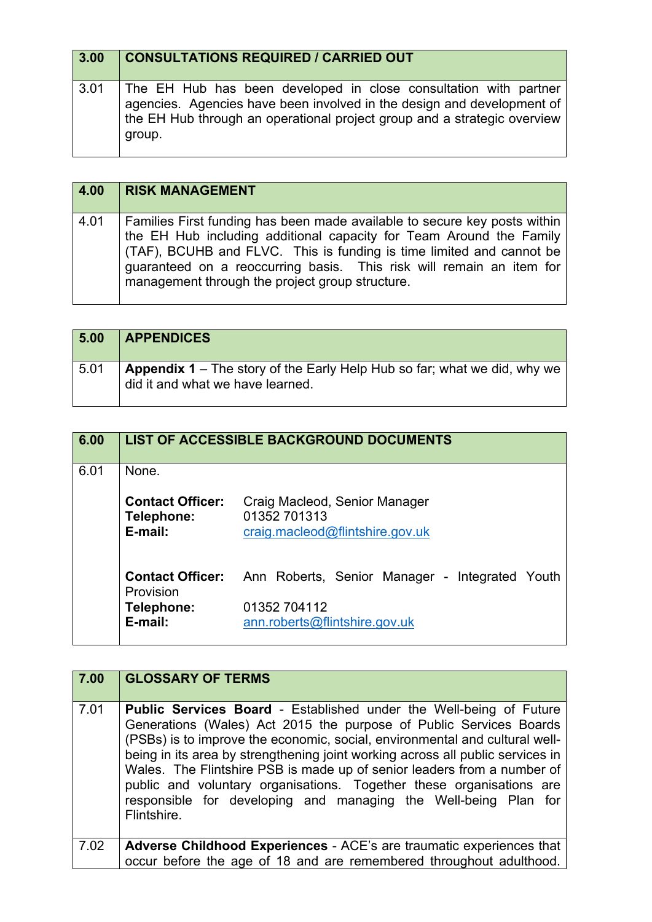| 3.00 | <b>CONSULTATIONS REQUIRED / CARRIED OUT</b>                                                                                                                                                                                      |
|------|----------------------------------------------------------------------------------------------------------------------------------------------------------------------------------------------------------------------------------|
| 3.01 | The EH Hub has been developed in close consultation with partner<br>agencies. Agencies have been involved in the design and development of<br>the EH Hub through an operational project group and a strategic overview<br>group. |

| 4.00 | <b>RISK MANAGEMENT</b>                                                                                                                                                                                                                                                                                                                              |
|------|-----------------------------------------------------------------------------------------------------------------------------------------------------------------------------------------------------------------------------------------------------------------------------------------------------------------------------------------------------|
| 4.01 | Families First funding has been made available to secure key posts within<br>the EH Hub including additional capacity for Team Around the Family<br>(TAF), BCUHB and FLVC. This is funding is time limited and cannot be<br>guaranteed on a reoccurring basis. This risk will remain an item for<br>management through the project group structure. |

| 5.00 | <b>APPENDICES</b>                                                                                                   |
|------|---------------------------------------------------------------------------------------------------------------------|
| 5.01 | <b>Appendix 1</b> – The story of the Early Help Hub so far; what we did, why we<br>did it and what we have learned. |

| 6.00 |                                                  | <b>LIST OF ACCESSIBLE BACKGROUND DOCUMENTS</b>                                   |
|------|--------------------------------------------------|----------------------------------------------------------------------------------|
| 6.01 | None.                                            |                                                                                  |
|      | <b>Contact Officer:</b><br>Telephone:<br>E-mail: | Craig Macleod, Senior Manager<br>01352 701313<br>craig.macleod@flintshire.gov.uk |
|      | <b>Contact Officer:</b><br>Provision             | Ann Roberts, Senior Manager - Integrated Youth                                   |
|      | Telephone:<br>E-mail:                            | 01352 704112<br>ann.roberts@flintshire.gov.uk                                    |

| 7.00 | <b>GLOSSARY OF TERMS</b>                                                                                                                                                                                                                                                                                                                                                                                                                                                                                                                              |
|------|-------------------------------------------------------------------------------------------------------------------------------------------------------------------------------------------------------------------------------------------------------------------------------------------------------------------------------------------------------------------------------------------------------------------------------------------------------------------------------------------------------------------------------------------------------|
| 7.01 | <b>Public Services Board - Established under the Well-being of Future</b><br>Generations (Wales) Act 2015 the purpose of Public Services Boards<br>(PSBs) is to improve the economic, social, environmental and cultural well-<br>being in its area by strengthening joint working across all public services in<br>Wales. The Flintshire PSB is made up of senior leaders from a number of<br>public and voluntary organisations. Together these organisations are<br>responsible for developing and managing the Well-being Plan for<br>Flintshire. |
| 7.02 | Adverse Childhood Experiences - ACE's are traumatic experiences that<br>occur before the age of 18 and are remembered throughout adulthood.                                                                                                                                                                                                                                                                                                                                                                                                           |